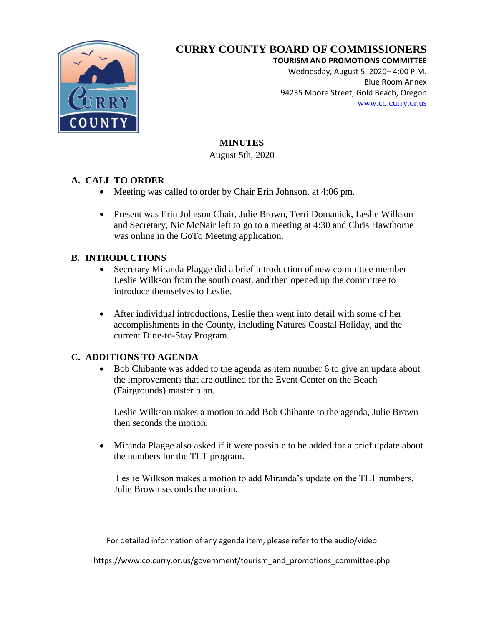

#### **TOURISM AND PROMOTIONS COMMITTEE**

Wednesday, August 5, 2020– 4:00 P.M. Blue Room Annex 94235 Moore Street, Gold Beach, Oregon [www.co.curry.or.us](http://www.co.curry.or.us/)

# **MINUTES**

August 5th, 2020

## **A. CALL TO ORDER**

- Meeting was called to order by Chair Erin Johnson, at 4:06 pm.
- Present was Erin Johnson Chair, Julie Brown, Terri Domanick, Leslie Wilkson and Secretary, Nic McNair left to go to a meeting at 4:30 and Chris Hawthorne was online in the GoTo Meeting application.

## **B. INTRODUCTIONS**

- Secretary Miranda Plagge did a brief introduction of new committee member Leslie Wilkson from the south coast, and then opened up the committee to introduce themselves to Leslie.
- After individual introductions, Leslie then went into detail with some of her accomplishments in the County, including Natures Coastal Holiday, and the current Dine-to-Stay Program.

## **C. ADDITIONS TO AGENDA**

 Bob Chibante was added to the agenda as item number 6 to give an update about the improvements that are outlined for the Event Center on the Beach (Fairgrounds) master plan.

Leslie Wilkson makes a motion to add Bob Chibante to the agenda, Julie Brown then seconds the motion.

 Miranda Plagge also asked if it were possible to be added for a brief update about the numbers for the TLT program.

Leslie Wilkson makes a motion to add Miranda's update on the TLT numbers, Julie Brown seconds the motion.

For detailed information of any agenda item, please refer to the audio/video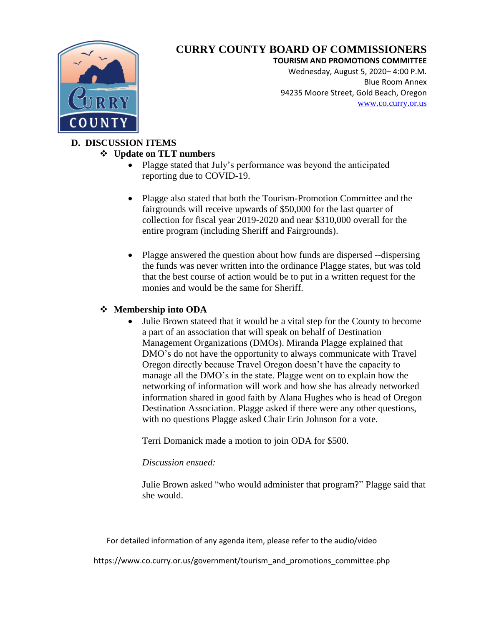

#### **TOURISM AND PROMOTIONS COMMITTEE**

Wednesday, August 5, 2020– 4:00 P.M. Blue Room Annex 94235 Moore Street, Gold Beach, Oregon [www.co.curry.or.us](http://www.co.curry.or.us/)

# **D. DISCUSSION ITEMS**

### **Update on TLT numbers**

- Plagge stated that July's performance was beyond the anticipated reporting due to COVID-19.
- Plagge also stated that both the Tourism-Promotion Committee and the fairgrounds will receive upwards of \$50,000 for the last quarter of collection for fiscal year 2019-2020 and near \$310,000 overall for the entire program (including Sheriff and Fairgrounds).
- Plagge answered the question about how funds are dispersed --dispersing the funds was never written into the ordinance Plagge states, but was told that the best course of action would be to put in a written request for the monies and would be the same for Sheriff.

## **Membership into ODA**

 Julie Brown stateed that it would be a vital step for the County to become a part of an association that will speak on behalf of Destination Management Organizations (DMOs). Miranda Plagge explained that DMO's do not have the opportunity to always communicate with Travel Oregon directly because Travel Oregon doesn't have the capacity to manage all the DMO's in the state. Plagge went on to explain how the networking of information will work and how she has already networked information shared in good faith by Alana Hughes who is head of Oregon Destination Association. Plagge asked if there were any other questions, with no questions Plagge asked Chair Erin Johnson for a vote.

Terri Domanick made a motion to join ODA for \$500.

#### *Discussion ensued:*

Julie Brown asked "who would administer that program?" Plagge said that she would.

For detailed information of any agenda item, please refer to the audio/video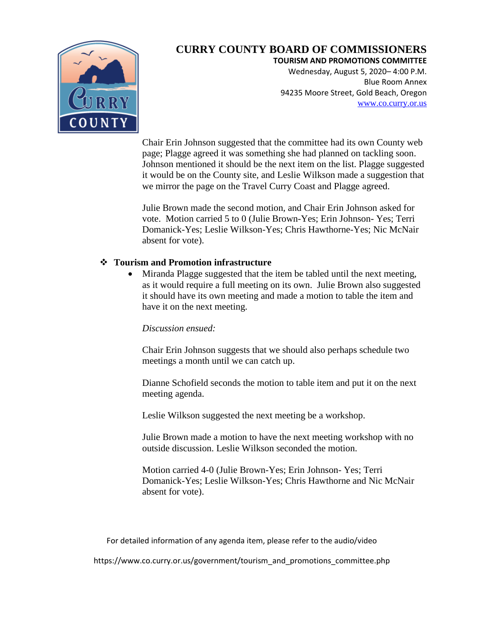

**TOURISM AND PROMOTIONS COMMITTEE**

Wednesday, August 5, 2020– 4:00 P.M. Blue Room Annex 94235 Moore Street, Gold Beach, Oregon [www.co.curry.or.us](http://www.co.curry.or.us/)

Chair Erin Johnson suggested that the committee had its own County web page; Plagge agreed it was something she had planned on tackling soon. Johnson mentioned it should be the next item on the list. Plagge suggested it would be on the County site, and Leslie Wilkson made a suggestion that we mirror the page on the Travel Curry Coast and Plagge agreed.

Julie Brown made the second motion, and Chair Erin Johnson asked for vote. Motion carried 5 to 0 (Julie Brown-Yes; Erin Johnson- Yes; Terri Domanick-Yes; Leslie Wilkson-Yes; Chris Hawthorne-Yes; Nic McNair absent for vote).

#### **Tourism and Promotion infrastructure**

 Miranda Plagge suggested that the item be tabled until the next meeting, as it would require a full meeting on its own. Julie Brown also suggested it should have its own meeting and made a motion to table the item and have it on the next meeting.

#### *Discussion ensued:*

Chair Erin Johnson suggests that we should also perhaps schedule two meetings a month until we can catch up.

Dianne Schofield seconds the motion to table item and put it on the next meeting agenda.

Leslie Wilkson suggested the next meeting be a workshop.

Julie Brown made a motion to have the next meeting workshop with no outside discussion. Leslie Wilkson seconded the motion.

Motion carried 4-0 (Julie Brown-Yes; Erin Johnson- Yes; Terri Domanick-Yes; Leslie Wilkson-Yes; Chris Hawthorne and Nic McNair absent for vote).

For detailed information of any agenda item, please refer to the audio/video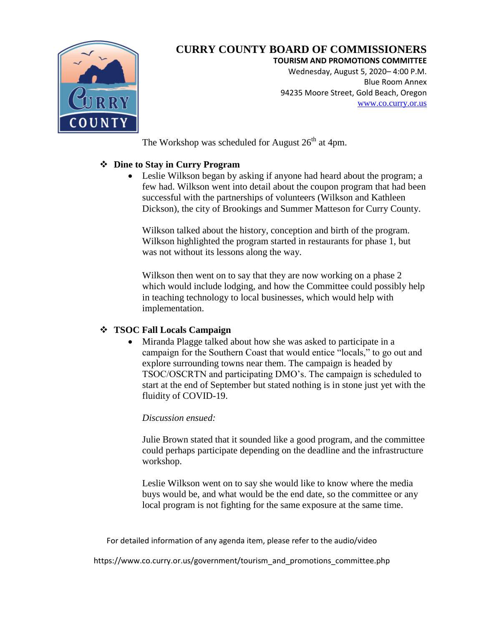

**TOURISM AND PROMOTIONS COMMITTEE**

Wednesday, August 5, 2020– 4:00 P.M. Blue Room Annex 94235 Moore Street, Gold Beach, Oregon [www.co.curry.or.us](http://www.co.curry.or.us/)

The Workshop was scheduled for August  $26<sup>th</sup>$  at 4pm.

## **Dine to Stay in Curry Program**

 Leslie Wilkson began by asking if anyone had heard about the program; a few had. Wilkson went into detail about the coupon program that had been successful with the partnerships of volunteers (Wilkson and Kathleen Dickson), the city of Brookings and Summer Matteson for Curry County.

Wilkson talked about the history, conception and birth of the program. Wilkson highlighted the program started in restaurants for phase 1, but was not without its lessons along the way.

Wilkson then went on to say that they are now working on a phase 2 which would include lodging, and how the Committee could possibly help in teaching technology to local businesses, which would help with implementation.

#### **TSOC Fall Locals Campaign**

 Miranda Plagge talked about how she was asked to participate in a campaign for the Southern Coast that would entice "locals," to go out and explore surrounding towns near them. The campaign is headed by TSOC/OSCRTN and participating DMO's. The campaign is scheduled to start at the end of September but stated nothing is in stone just yet with the fluidity of COVID-19.

#### *Discussion ensued:*

Julie Brown stated that it sounded like a good program, and the committee could perhaps participate depending on the deadline and the infrastructure workshop.

Leslie Wilkson went on to say she would like to know where the media buys would be, and what would be the end date, so the committee or any local program is not fighting for the same exposure at the same time.

For detailed information of any agenda item, please refer to the audio/video